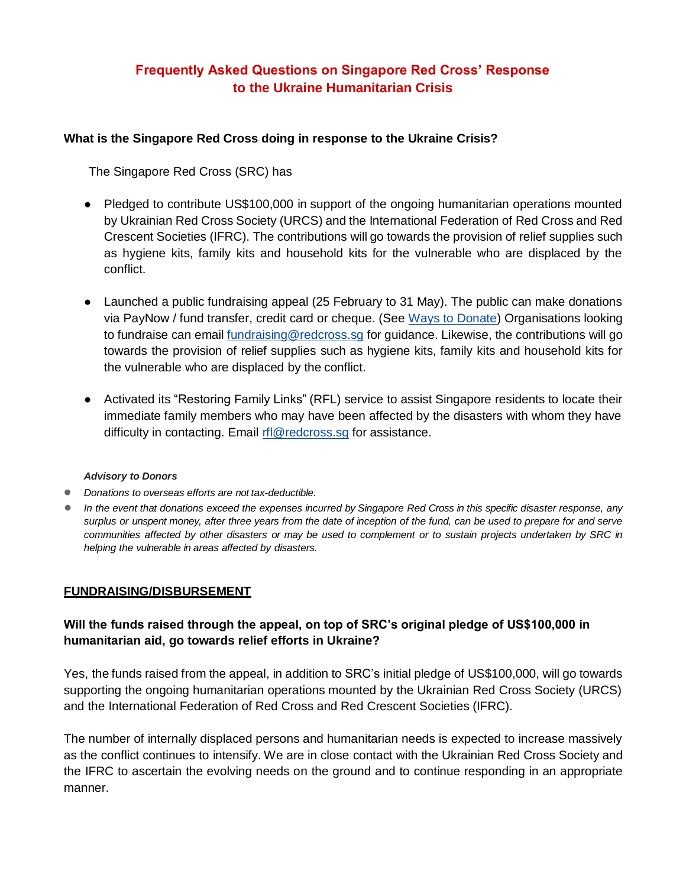# **Frequently Asked Questions on Singapore Red Cross' Response to the Ukraine Humanitarian Crisis**

#### **What is the Singapore Red Cross doing in response to the Ukraine Crisis?**

The Singapore Red Cross (SRC) has

- Pledged to contribute US\$100,000 in support of the ongoing humanitarian operations mounted by Ukrainian Red Cross Society (URCS) and the International Federation of Red Cross and Red Crescent Societies (IFRC). The contributions will go towards the provision of relief supplies such as hygiene kits, family kits and household kits for the vulnerable who are displaced by the conflict.
- Launched a public fundraising appeal (25 February to 31 May). The public can make donations via PayNow / fund transfer, credit card or cheque. (See [Ways to Donate\)](https://redcross.sg/media-centre/press-releases/1122-singapore-red-cross-supports-communities-affected-by-ukraine-conflict.html) Organisations looking to fundraise can email [fundraising@redcross.sg](mailto:fundraising@redcross.org.sg) for guidance. Likewise, the contributions will go towards the provision of relief supplies such as hygiene kits, family kits and household kits for the vulnerable who are displaced by the conflict.
- Activated its "Restoring Family Links" (RFL) service to assist Singapore residents to locate their immediate family members who may have been affected by the disasters with whom they have difficulty in contacting. Email [rfl@redcross.sg](mailto:rfl@redcross.sg) for assistance.

#### *Advisory to Donors*

- *Donations to overseas efforts are not tax-deductible.*
- *In the event that donations exceed the expenses incurred by Singapore Red Cross in this specific disaster response, any surplus or unspent money, after three years from the date of inception of the fund, can be used to prepare for and serve communities affected by other disasters or may be used to complement or to sustain projects undertaken by SRC in helping the vulnerable in areas affected by disasters.*

#### **FUNDRAISING/DISBURSEMENT**

### **Will the funds raised through the appeal, on top of SRC's original pledge of US\$100,000 in humanitarian aid, go towards relief efforts in Ukraine?**

Yes, the funds raised from the appeal, in addition to SRC's initial pledge of US\$100,000, will go towards supporting the ongoing humanitarian operations mounted by the Ukrainian Red Cross Society (URCS) and the International Federation of Red Cross and Red Crescent Societies (IFRC).

The number of internally displaced persons and humanitarian needs is expected to increase massively as the conflict continues to intensify. We are in close contact with the Ukrainian Red Cross Society and the IFRC to ascertain the evolving needs on the ground and to continue responding in an appropriate manner.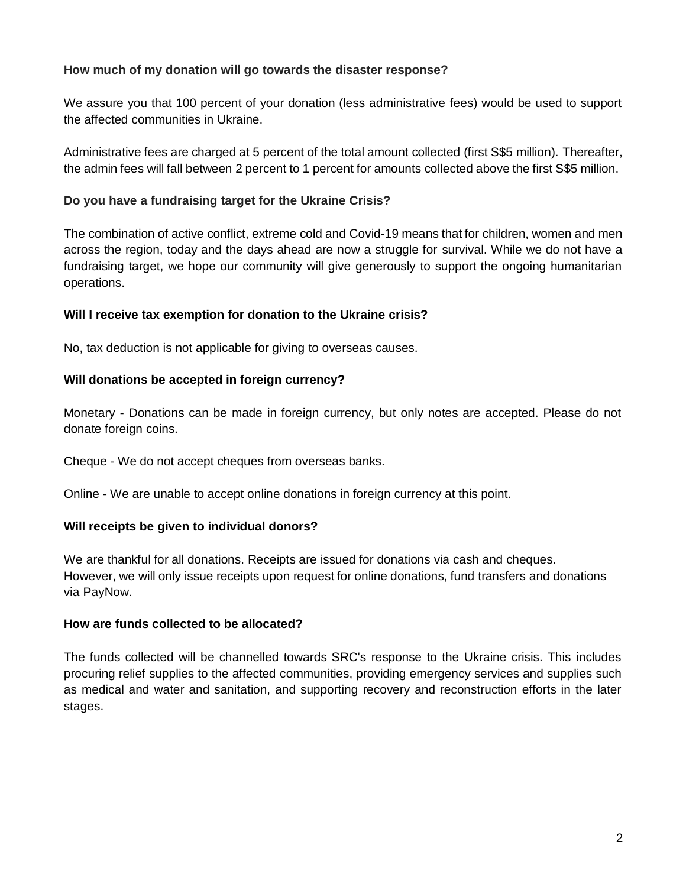### **How much of my donation will go towards the disaster response?**

We assure you that 100 percent of your donation (less administrative fees) would be used to support the affected communities in Ukraine.

Administrative fees are charged at 5 percent of the total amount collected (first S\$5 million). Thereafter, the admin fees will fall between 2 percent to 1 percent for amounts collected above the first S\$5 million.

### **Do you have a fundraising target for the Ukraine Crisis?**

The combination of active conflict, extreme cold and Covid-19 means that for children, women and men across the region, today and the days ahead are now a struggle for survival. While we do not have a fundraising target, we hope our community will give generously to support the ongoing humanitarian operations.

### **Will I receive tax exemption for donation to the Ukraine crisis?**

No, tax deduction is not applicable for giving to overseas causes.

### **Will donations be accepted in foreign currency?**

Monetary - Donations can be made in foreign currency, but only notes are accepted. Please do not donate foreign coins.

Cheque - We do not accept cheques from overseas banks.

Online - We are unable to accept online donations in foreign currency at this point.

## **Will receipts be given to individual donors?**

We are thankful for all donations. Receipts are issued for donations via cash and cheques. However, we will only issue receipts upon request for online donations, fund transfers and donations via PayNow.

#### **How are funds collected to be allocated?**

The funds collected will be channelled towards SRC's response to the Ukraine crisis. This includes procuring relief supplies to the affected communities, providing emergency services and supplies such as medical and water and sanitation, and supporting recovery and reconstruction efforts in the later stages.